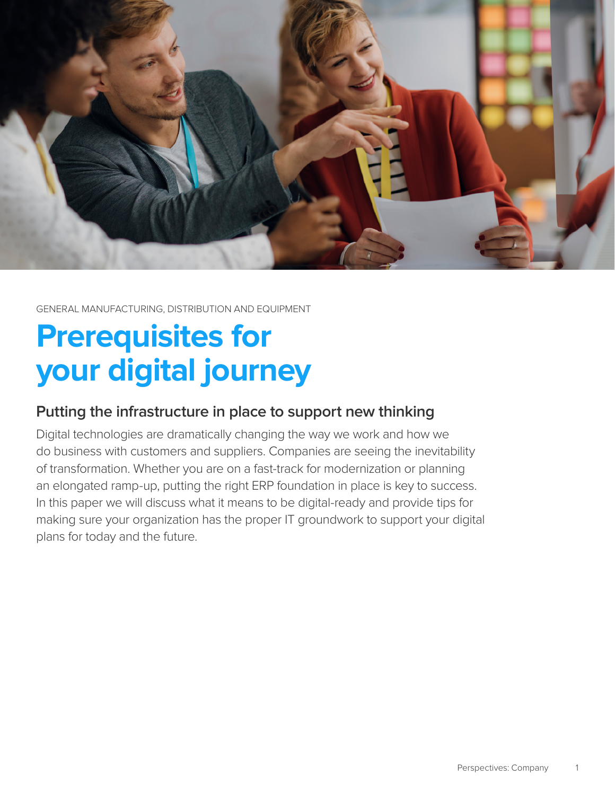

GENERAL MANUFACTURING, DISTRIBUTION AND EQUIPMENT

# **Prerequisites for your digital journey**

## **Putting the infrastructure in place to support new thinking**

Digital technologies are dramatically changing the way we work and how we do business with customers and suppliers. Companies are seeing the inevitability of transformation. Whether you are on a fast-track for modernization or planning an elongated ramp-up, putting the right ERP foundation in place is key to success. In this paper we will discuss what it means to be digital-ready and provide tips for making sure your organization has the proper IT groundwork to support your digital plans for today and the future.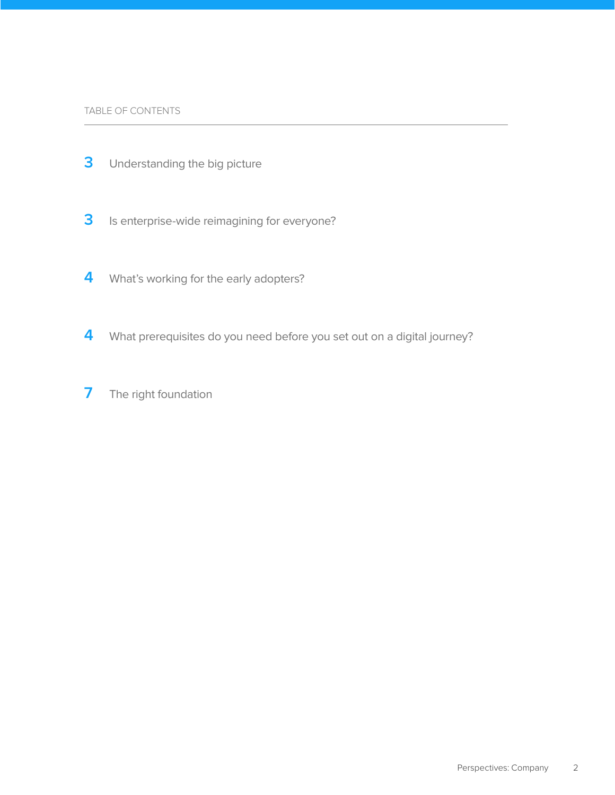- [Understanding the big picture](#page-2-0)
- [Is enterprise-wide reimagining for everyone?](#page-2-0)
- [What's working for the early adopters?](#page-3-0)
- [What prerequisites do you need before you set out on a digital journey?](#page-3-0)
- [The right foundation](#page-6-0)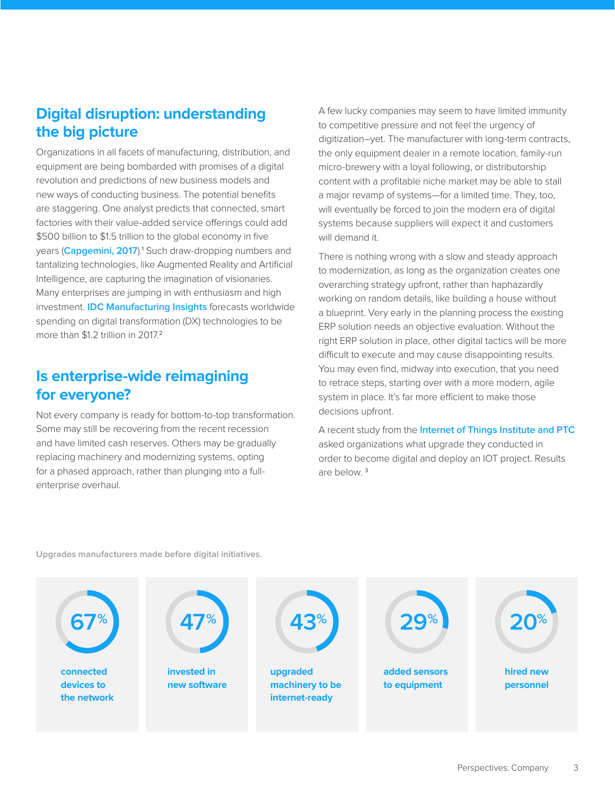## <span id="page-2-0"></span>**Digital disruption: understanding the big picture**

Organizations in all facets of manufacturing, distribution, and equipment are being bombarded with promises of a digital revolution and predictions of new business models and new ways of conducting business. The potential benefits are staggering. One analyst predicts that connected, smart factories with their value-added service offerings could add \$500 billion to \$1.5 trillion to the global economy in five years ([Capgemini, 2017](https://www.capgemini.com/resources/smart-factories-how-can-manufacturers-realize-the-potential-of-digital-industrial/)).<sup>1</sup> Such draw-dropping numbers and tantalizing technologies, like Augmented Reality and Artificial Intelligence, are capturing the imagination of visionaries. Many enterprises are jumping in with enthusiasm and high investment. **[IDC Manufacturing Insights](http://www.idc.com/getdoc.jsp?containerId=prUS42327517)** forecasts worldwide spending on digital transformation (DX) technologies to be more than \$1.2 trillion in 2017.<sup>2</sup>

## **Is enterprise-wide reimagining for everyone?**

Not every company is ready for bottom-to-top transformation. Some may still be recovering from the recent recession and have limited cash reserves. Others may be gradually replacing machinery and modernizing systems, opting for a phased approach, rather than plunging into a fullenterprise overhaul.

A few lucky companies may seem to have limited immunity to competitive pressure and not feel the urgency of digitization–yet. The manufacturer with long-term contracts, the only equipment dealer in a remote location, family-run micro-brewery with a loyal following, or distributorship content with a profitable niche market may be able to stall a major revamp of systems—for a limited time. They, too, will eventually be forced to join the modern era of digital systems because suppliers will expect it and customers will demand it.

There is nothing wrong with a slow and steady approach to modernization, as long as the organization creates one overarching strategy upfront, rather than haphazardly working on random details, like building a house without a blueprint. Very early in the planning process the existing ERP solution needs an objective evaluation. Without the right ERP solution in place, other digital tactics will be more difficult to execute and may cause disappointing results. You may even find, midway into execution, that you need to retrace steps, starting over with a more modern, agile system in place. It's far more efficient to make those decisions upfront.

A recent study from the **[Internet of Things Institute and PTC](http://www.ioti.com/industrial-iot-iiot/been-there-done-how-manufacturers-are-achieving-success-iiot)** asked organizations what upgrade they conducted in order to become digital and deploy an IOT project. Results are below. <sup>3</sup>

**Upgrades manufacturers made before digital initiatives.**

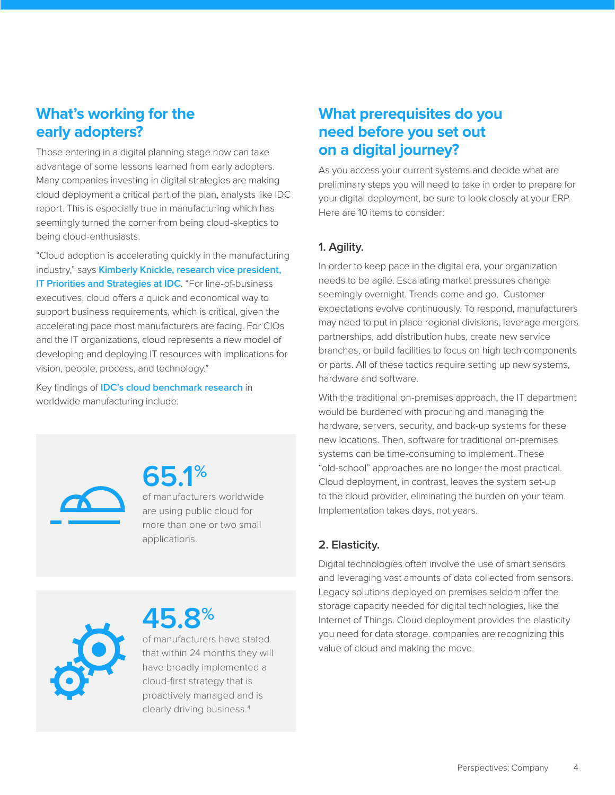## <span id="page-3-0"></span>**What's working for the early adopters?**

Those entering in a digital planning stage now can take advantage of some lessons learned from early adopters. Many companies investing in digital strategies are making cloud deployment a critical part of the plan, analysts like IDC report. This is especially true in manufacturing which has seemingly turned the corner from being cloud-skeptics to being cloud-enthusiasts.

"Cloud adoption is accelerating quickly in the manufacturing industry," says **[Kimberly Knickle, research vice president,](http://www.idc.com/getdoc.jsp?containerId=US40539416)  [IT Priorities and Strategies at IDC](http://www.idc.com/getdoc.jsp?containerId=US40539416)**. "For line-of-business executives, cloud offers a quick and economical way to support business requirements, which is critical, given the accelerating pace most manufacturers are facing. For CIOs and the IT organizations, cloud represents a new model of developing and deploying IT resources with implications for vision, people, process, and technology."

Key findings of **[IDC's cloud benchmark research](http://www.idc.com/getdoc.jsp?containerId=prUS42321417)** in worldwide manufacturing include:



**65.1%** of manufacturers worldwide are using public cloud for more than one or two small applications.



**45.8%** of manufacturers have stated

that within 24 months they will have broadly implemented a cloud-first strategy that is proactively managed and is clearly driving business.4

## **What prerequisites do you need before you set out on a digital journey?**

As you access your current systems and decide what are preliminary steps you will need to take in order to prepare for your digital deployment, be sure to look closely at your ERP. Here are 10 items to consider:

#### **1. Agility.**

In order to keep pace in the digital era, your organization needs to be agile. Escalating market pressures change seemingly overnight. Trends come and go. Customer expectations evolve continuously. To respond, manufacturers may need to put in place regional divisions, leverage mergers partnerships, add distribution hubs, create new service branches, or build facilities to focus on high tech components or parts. All of these tactics require setting up new systems, hardware and software.

With the traditional on-premises approach, the IT department would be burdened with procuring and managing the hardware, servers, security, and back-up systems for these new locations. Then, software for traditional on-premises systems can be time-consuming to implement. These "old-school" approaches are no longer the most practical. Cloud deployment, in contrast, leaves the system set-up to the cloud provider, eliminating the burden on your team. Implementation takes days, not years.

### **2. Elasticity.**

Digital technologies often involve the use of smart sensors and leveraging vast amounts of data collected from sensors. Legacy solutions deployed on premises seldom offer the storage capacity needed for digital technologies, like the Internet of Things. Cloud deployment provides the elasticity you need for data storage. companies are recognizing this value of cloud and making the move.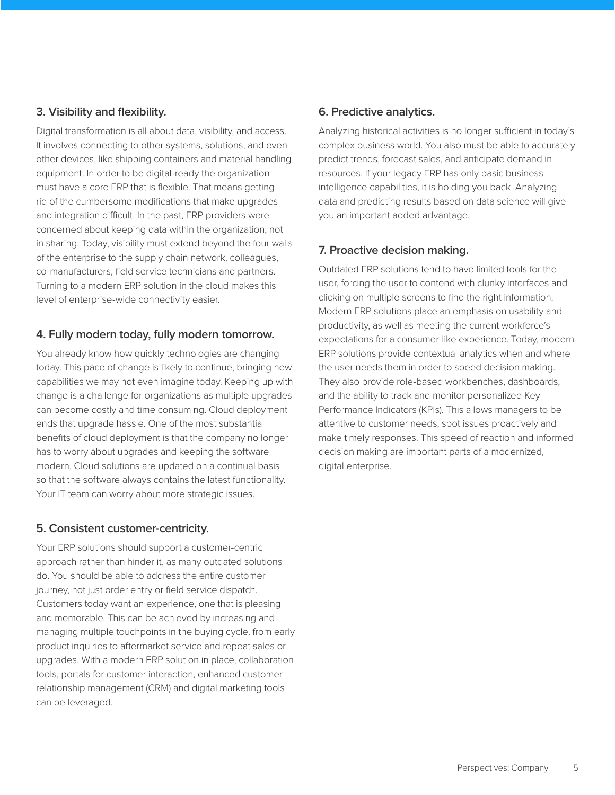#### **3. Visibility and flexibility.**

Digital transformation is all about data, visibility, and access. It involves connecting to other systems, solutions, and even other devices, like shipping containers and material handling equipment. In order to be digital-ready the organization must have a core ERP that is flexible. That means getting rid of the cumbersome modifications that make upgrades and integration difficult. In the past, ERP providers were concerned about keeping data within the organization, not in sharing. Today, visibility must extend beyond the four walls of the enterprise to the supply chain network, colleagues, co-manufacturers, field service technicians and partners. Turning to a modern ERP solution in the cloud makes this level of enterprise-wide connectivity easier.

#### **4. Fully modern today, fully modern tomorrow.**

You already know how quickly technologies are changing today. This pace of change is likely to continue, bringing new capabilities we may not even imagine today. Keeping up with change is a challenge for organizations as multiple upgrades can become costly and time consuming. Cloud deployment ends that upgrade hassle. One of the most substantial benefits of cloud deployment is that the company no longer has to worry about upgrades and keeping the software modern. Cloud solutions are updated on a continual basis so that the software always contains the latest functionality. Your IT team can worry about more strategic issues.

#### **5. Consistent customer-centricity.**

Your ERP solutions should support a customer-centric approach rather than hinder it, as many outdated solutions do. You should be able to address the entire customer journey, not just order entry or field service dispatch. Customers today want an experience, one that is pleasing and memorable. This can be achieved by increasing and managing multiple touchpoints in the buying cycle, from early product inquiries to aftermarket service and repeat sales or upgrades. With a modern ERP solution in place, collaboration tools, portals for customer interaction, enhanced customer relationship management (CRM) and digital marketing tools can be leveraged.

#### **6. Predictive analytics.**

Analyzing historical activities is no longer sufficient in today's complex business world. You also must be able to accurately predict trends, forecast sales, and anticipate demand in resources. If your legacy ERP has only basic business intelligence capabilities, it is holding you back. Analyzing data and predicting results based on data science will give you an important added advantage.

#### **7. Proactive decision making.**

Outdated ERP solutions tend to have limited tools for the user, forcing the user to contend with clunky interfaces and clicking on multiple screens to find the right information. Modern ERP solutions place an emphasis on usability and productivity, as well as meeting the current workforce's expectations for a consumer-like experience. Today, modern ERP solutions provide contextual analytics when and where the user needs them in order to speed decision making. They also provide role-based workbenches, dashboards, and the ability to track and monitor personalized Key Performance Indicators (KPIs). This allows managers to be attentive to customer needs, spot issues proactively and make timely responses. This speed of reaction and informed decision making are important parts of a modernized, digital enterprise.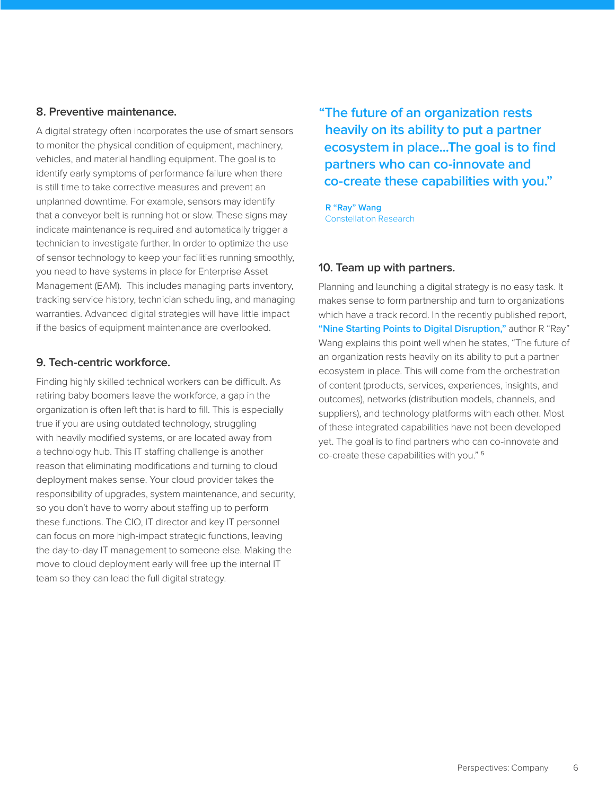#### **8. Preventive maintenance.**

A digital strategy often incorporates the use of smart sensors to monitor the physical condition of equipment, machinery, vehicles, and material handling equipment. The goal is to identify early symptoms of performance failure when there is still time to take corrective measures and prevent an unplanned downtime. For example, sensors may identify that a conveyor belt is running hot or slow. These signs may indicate maintenance is required and automatically trigger a technician to investigate further. In order to optimize the use of sensor technology to keep your facilities running smoothly, you need to have systems in place for Enterprise Asset Management (EAM). This includes managing parts inventory, tracking service history, technician scheduling, and managing warranties. Advanced digital strategies will have little impact if the basics of equipment maintenance are overlooked.

#### **9. Tech-centric workforce.**

Finding highly skilled technical workers can be difficult. As retiring baby boomers leave the workforce, a gap in the organization is often left that is hard to fill. This is especially true if you are using outdated technology, struggling with heavily modified systems, or are located away from a technology hub. This IT staffing challenge is another reason that eliminating modifications and turning to cloud deployment makes sense. Your cloud provider takes the responsibility of upgrades, system maintenance, and security, so you don't have to worry about staffing up to perform these functions. The CIO, IT director and key IT personnel can focus on more high-impact strategic functions, leaving the day-to-day IT management to someone else. Making the move to cloud deployment early will free up the internal IT team so they can lead the full digital strategy.

**"The future of an organization rests heavily on its ability to put a partner ecosystem in place...The goal is to find partners who can co-innovate and co-create these capabilities with you."**

**R "Ray" Wang** Constellation Research

#### **10. Team up with partners.**

Planning and launching a digital strategy is no easy task. It makes sense to form partnership and turn to organizations which have a track record. In the recently published report, **["Nine Starting Points to Digital Disruption,"](http://go.infor.com/erp-nine-starting-points/?refreshcache=1)** author R "Ray" Wang explains this point well when he states, "The future of an organization rests heavily on its ability to put a partner ecosystem in place. This will come from the orchestration of content (products, services, experiences, insights, and outcomes), networks (distribution models, channels, and suppliers), and technology platforms with each other. Most of these integrated capabilities have not been developed yet. The goal is to find partners who can co-innovate and co-create these capabilities with you." <sup>5</sup>